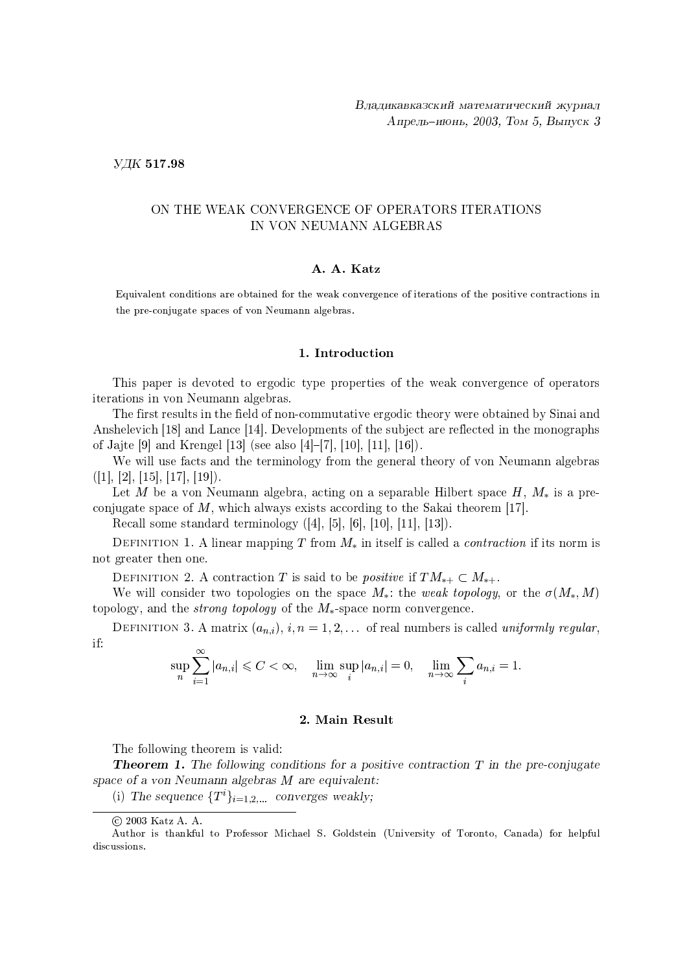УДК 517.98

# ON THE WEAK CONVERGENCE OF OPERATORS ITERATIONS IN VON NEUMANN ALGEBRAS

## A. A. Katz

Equivalent conditions are obtained for the weak convergence of iterations of the positive contractions in the pre-conjugate spaces of von Neumann algebras.

### 1. Introduction

This paper is devoted to ergodic type properties of the weak convergence of operators iterations in von Neumann algebras.

The first results in the field of non-commutative ergodic theory were obtained by Sinai and Anshelevich [18] and Lance [14]. Developments of the subject are reflected in the monographs of Jajte [9] and Krengel [13] (see also [4]-[7], [10], [11], [16]).

We will use facts and the terminology from the general theory of von Neumann algebras  $([1], [2], [15], [17], [19]).$ 

Let M be a von Neumann algebra, acting on a separable Hilbert space  $H, M_*$  is a preconjugate space of  $M$ , which always exists according to the Sakai theorem [17].

Recall some standard terminology  $([4], [5], [6], [10], [11], [13])$ .

DEFINITION 1. A linear mapping T from  $M_*$  in itself is called a *contraction* if its norm is not greater then one.

DEFINITION 2. A contraction T is said to be *positive* if  $TM_{*+} \subset M_{*+}$ .

We will consider two topologies on the space  $M_*$ : the weak topology, or the  $\sigma(M_*,M)$ topology, and the *strong topology* of the  $M_*$ -space norm convergence.

DEFINITION 3. A matrix  $(a_{n,i}), i, n = 1, 2, ...$  of real numbers is called *uniformly regular*, if:

$$
\sup_{n}\sum_{i=1}^{\infty}|a_{n,i}|\leqslant C<\infty,\quad \lim_{n\to\infty}\sup_{i}|a_{n,i}|=0,\quad \lim_{n\to\infty}\sum_{i}a_{n,i}=1.
$$

### 2. Main Result

The following theorem is valid:

**Theorem 1.** The following conditions for a positive contraction  $T$  in the pre-conjugate space of a von Neumann algebras  $M$  are equivalent:

(i) The sequence  $\{T^i\}_{i=1,2,...}$  converges weakly;

<sup>© 2003</sup> Katz A. A.

Author is thankful to Professor Michael S. Goldstein (University of Toronto, Canada) for helpful discussions.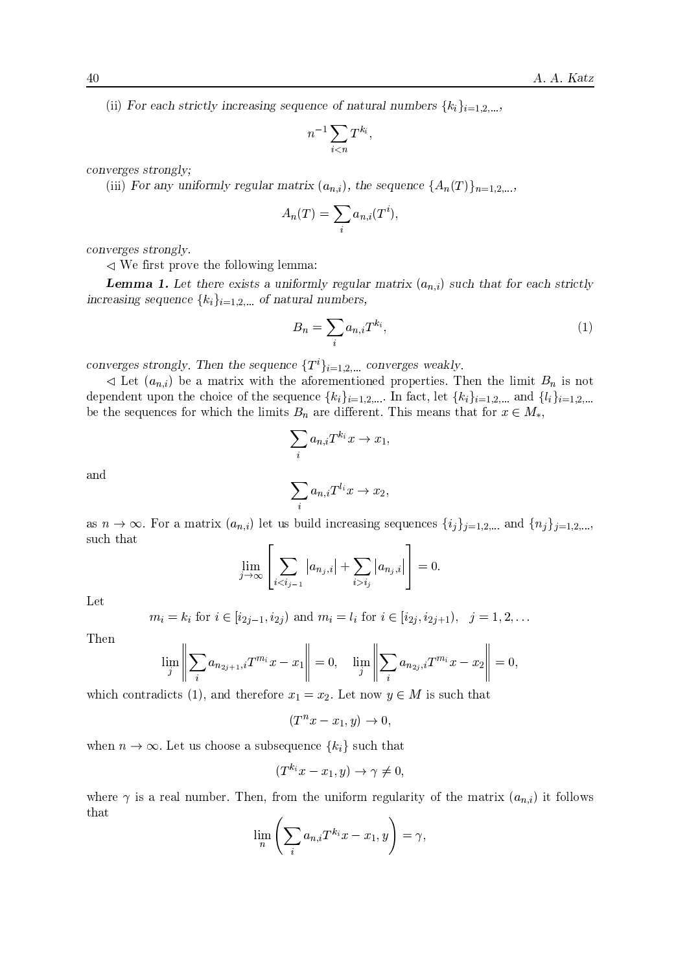(ii) For each strictly increasing sequence of natural numbers  $\{k_i\}_{i=1,2,...}$ 

$$
n^{-1}\sum_{i
$$

converges strongly;

(iii) For any uniformly regular matrix  $(a_{n,i})$ , the sequence  $\{A_n(T)\}_{n=1,2,...}$ 

$$
A_n(T) = \sum_i a_{n,i}(T^i),
$$

converges strongly.

 $\leq$  We first prove the following lemma:

**Lemma 1.** Let there exists a uniformly regular matrix  $(a_{n,i})$  such that for each strictly increasing sequence  $\{k_i\}_{i=1,2,...}$  of natural numbers,

$$
B_n = \sum_i a_{n,i} T^{k_i},\tag{1}
$$

converges strongly. Then the sequence  $\{T^i\}_{i=1,2,...}$  converges weakly.

 $\triangleleft$  Let  $(a_{n,i})$  be a matrix with the aforementioned properties. Then the limit  $B_n$  is not dependent upon the choice of the sequence  $\{k_i\}_{i=1,2,...}$  In fact, let  $\{k_i\}_{i=1,2,...}$  and  $\{l_i\}_{i=1,2,...}$ be the sequences for which the limits  $B_n$  are different. This means that for  $x \in M_*$ ,

$$
\sum_i a_{n,i} T^{k_i} x \to x_1
$$

and

$$
\sum_i a_{n,i}T^{l_i}x \to x_2,
$$

as  $n \to \infty$ . For a matrix  $(a_{n,i})$  let us build increasing sequences  $\{i_j\}_{j=1,2,...}$  and  $\{n_j\}_{j=1,2,...}$ such that

$$
\lim_{j \to \infty} \left[ \sum_{i < i_{j-1}} |a_{n_j,i}| + \sum_{i > i_j} |a_{n_j,i}| \right] = 0.
$$

Let

$$
m_i = k_i
$$
 for  $i \in [i_{2j-1}, i_{2j})$  and  $m_i = l_i$  for  $i \in [i_{2j}, i_{2j+1}), j = 1, 2, ...$ 

Then

$$
\lim_{j} \left\| \sum_{i} a_{n_{2j+1},i} T^{m_i} x - x_1 \right\| = 0, \quad \lim_{j} \left\| \sum_{i} a_{n_{2j},i} T^{m_i} x - x_2 \right\| = 0,
$$

which contradicts (1), and therefore  $x_1 = x_2$ . Let now  $y \in M$  is such that

$$
(T^n x - x_1, y) \to 0,
$$

when  $n \to \infty$ . Let us choose a subsequence  $\{k_i\}$  such that

$$
(T^{k_i}x - x_1, y) \to \gamma \neq 0,
$$

where  $\gamma$  is a real number. Then, from the uniform regularity of the matrix  $(a_{n,i})$  it follows that

$$
\lim_{n}\left(\sum_{i}a_{n,i}T^{k_i}x-x_1,y\right)=\gamma,
$$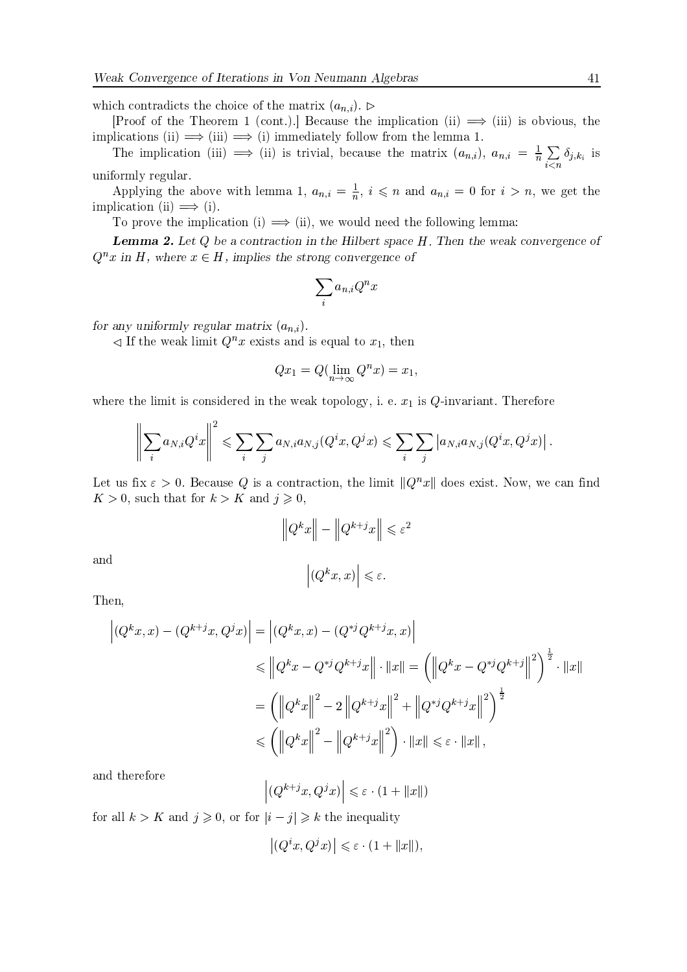which contradicts the choice of the matrix  $(a_{n,i})$ .

[Proof of the Theorem 1 (cont.).] Because the implication (ii)  $\implies$  (iii) is obvious, the implications (ii)  $\implies$  (iii)  $\implies$  (i) immediately follow from the lemma 1.

The implication (iii)  $\implies$  (ii) is trivial, because the matrix  $(a_{n,i})$ ,  $a_{n,i} = \frac{1}{n} \sum_{i \leq n} \delta_{j,k_i}$  is uniformly regular.

Applying the above with lemma 1,  $a_{n,i} = \frac{1}{n}$ ,  $i \leq n$  and  $a_{n,i} = 0$  for  $i > n$ , we get the implication (ii)  $\implies$  (i).

To prove the implication (i)  $\implies$  (ii), we would need the following lemma:

**Lemma 2.** Let  $Q$  be a contraction in the Hilbert space  $H$ . Then the weak convergence of  $Q^n x$  in H, where  $x \in H$ , implies the strong convergence of

$$
\sum_i a_{n,i} Q^n x
$$

for any uniformly regular matrix  $(a_{n,i})$ .

 $\triangleleft$  If the weak limit  $Q^n x$  exists and is equal to  $x_1$ , then

$$
Qx_1 = Q(\lim_{n \to \infty} Q^n x) = x_1,
$$

where the limit is considered in the weak topology, i. e.  $x_1$  is Q-invariant. Therefore

$$
\left\|\sum_i a_{N,i}Q^ix\right\|^2 \leqslant \sum_i\sum_j a_{N,i}a_{N,j}(Q^ix,Q^jx) \leqslant \sum_i\sum_j\left|a_{N,i}a_{N,j}(Q^ix,Q^jx)\right|
$$

Let us fix  $\varepsilon > 0$ . Because Q is a contraction, the limit  $||Q^n x||$  does exist. Now, we can find  $K > 0$ , such that for  $k > K$  and  $j \geqslant 0$ .

$$
\|Q^k x\| - \|Q^{k+j} x\| \le \varepsilon^2
$$

$$
(Q^k x, x) \le \varepsilon.
$$

and

Then,

$$
\left| (Q^{k}x, x) - (Q^{k+j}x, Q^{j}x) \right| = \left| (Q^{k}x, x) - (Q^{*j}Q^{k+j}x, x) \right|
$$
  
\n
$$
\leq \left\| Q^{k}x - Q^{*j}Q^{k+j}x \right\| \cdot \|x\| = \left( \left\| Q^{k}x - Q^{*j}Q^{k+j} \right\|^{2} \right)^{\frac{1}{2}} \cdot \|x\|
$$
  
\n
$$
= \left( \left\| Q^{k}x \right\|^{2} - 2 \left\| Q^{k+j}x \right\|^{2} + \left\| Q^{*j}Q^{k+j}x \right\|^{2} \right)^{\frac{1}{2}}
$$
  
\n
$$
\leq \left( \left\| Q^{k}x \right\|^{2} - \left\| Q^{k+j}x \right\|^{2} \right) \cdot \|x\| \leq \varepsilon \cdot \|x\|,
$$

and therefore

$$
\left| \left( Q^{k+j} x, Q^j x \right) \right| \leqslant \varepsilon \cdot \left( 1 + \| x \| \right)
$$

for all  $k > K$  and  $j \geqslant 0$ , or for  $|i - j| \geqslant k$  the inequality

$$
\left| (Q^i x, Q^j x) \right| \leqslant \varepsilon \cdot (1 + \|x\|),
$$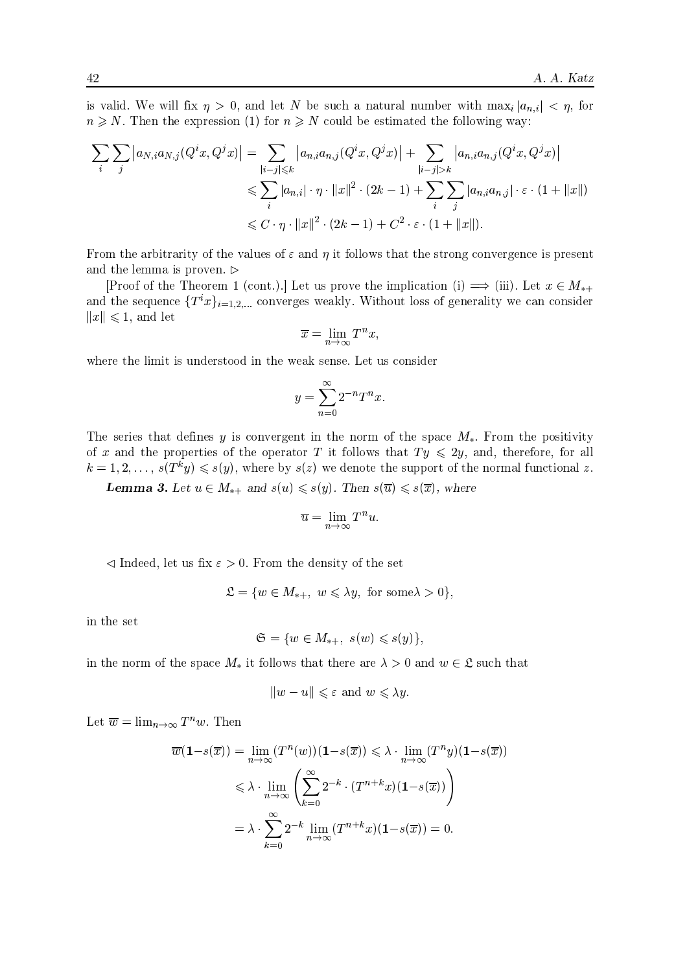is valid. We will fix  $\eta > 0$ , and let N be such a natural number with  $\max_i |a_{n,i}| < \eta$ , for  $n \geq N$ . Then the expression (1) for  $n \geq N$  could be estimated the following way:

$$
\sum_{i} \sum_{j} |a_{N,i} a_{N,j}(Q^i x, Q^j x)| = \sum_{|i-j| \leq k} |a_{n,i} a_{n,j}(Q^i x, Q^j x)| + \sum_{|i-j| > k} |a_{n,i} a_{n,j}(Q^i x, Q^j x)|
$$
  

$$
\leq \sum_{i} |a_{n,i}| \cdot \eta \cdot ||x||^2 \cdot (2k-1) + \sum_{i} \sum_{j} |a_{n,i} a_{n,j}| \cdot \varepsilon \cdot (1 + ||x||)
$$
  

$$
\leq C \cdot \eta \cdot ||x||^2 \cdot (2k-1) + C^2 \cdot \varepsilon \cdot (1 + ||x||).
$$

From the arbitrarity of the values of  $\varepsilon$  and  $\eta$  it follows that the strong convergence is present and the lemma is proven.  $\triangleright$ 

[Proof of the Theorem 1 (cont.).] Let us prove the implication (i)  $\implies$  (iii). Let  $x \in M_{*+}$ and the sequence  $\{T^ix\}_{i=1,2,...}$  converges weakly. Without loss of generality we can consider  $||x|| \leq 1$ , and let

$$
\overline{x} = \lim_{n \to \infty} T^n x,
$$

where the limit is understood in the weak sense. Let us consider

$$
y = \sum_{n=0}^{\infty} 2^{-n} T^n x
$$

The series that defines y is convergent in the norm of the space  $M_*$ . From the positivity of x and the properties of the operator T it follows that  $Ty \leq 2y$ , and, therefore, for all  $k = 1, 2, ..., s(T^k y) \leq s(y)$ , where by  $s(z)$  we denote the support of the normal functional z.

**Lemma 3.** Let  $u \in M_{*+}$  and  $s(u) \leq s(y)$ . Then  $s(\overline{u}) \leq s(\overline{x})$ , where

$$
\overline{u} = \lim_{n \to \infty} T^n u
$$

 $\triangleleft$  Indeed, let us fix  $\varepsilon > 0$ . From the density of the set

$$
\mathfrak{L} = \{ w \in M_{*+}, \ w \leqslant \lambda y, \text{ for some } \lambda > 0 \},
$$

in the set

$$
\mathfrak{S} = \{ w \in M_{*+}, s(w) \leqslant s(y) \}
$$

in the norm of the space  $M_*$  it follows that there are  $\lambda > 0$  and  $w \in \mathfrak{L}$  such that

$$
||w - u|| \leq \varepsilon \text{ and } w \leq \lambda y.
$$

Let  $\overline{w} = \lim_{n \to \infty} T^n w$ . Then

$$
\overline{w}(\mathbf{1} - s(\overline{x})) = \lim_{n \to \infty} (T^n(w))(\mathbf{1} - s(\overline{x})) \leq \lambda \cdot \lim_{n \to \infty} (T^n y)(\mathbf{1} - s(\overline{x}))
$$
  

$$
\leq \lambda \cdot \lim_{n \to \infty} \left( \sum_{k=0}^{\infty} 2^{-k} \cdot (T^{n+k} x)(\mathbf{1} - s(\overline{x})) \right)
$$
  

$$
= \lambda \cdot \sum_{k=0}^{\infty} 2^{-k} \lim_{n \to \infty} (T^{n+k} x)(\mathbf{1} - s(\overline{x})) = 0.
$$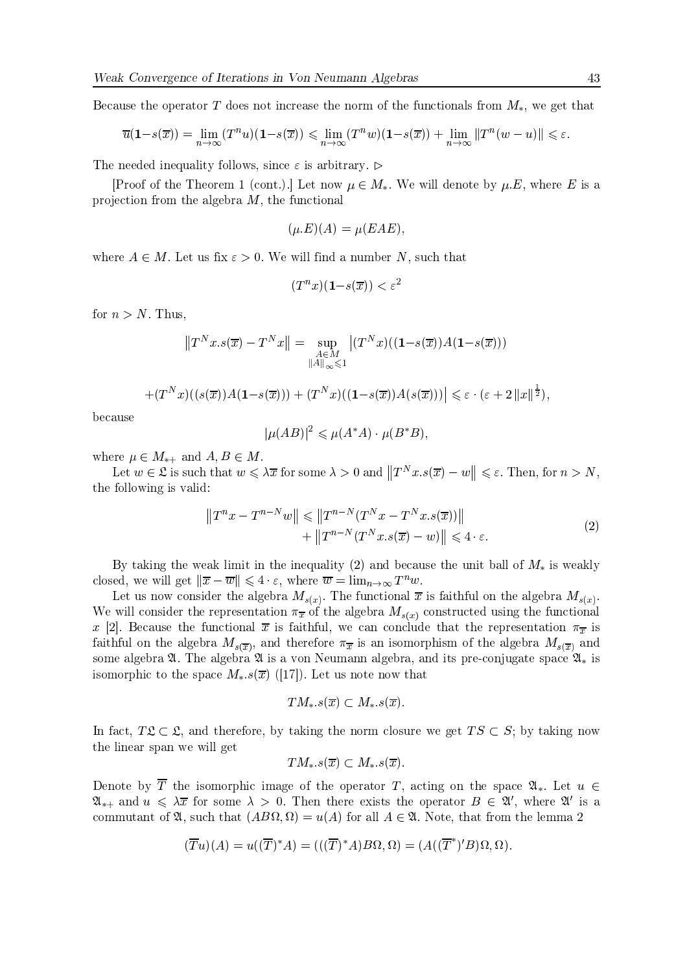Because the operator T does not increase the norm of the functionals from  $M_*$ , we get that

$$
\overline{u}(\mathbf{1}-s(\overline{x})) = \lim_{n \to \infty} (T^n u)(\mathbf{1}-s(\overline{x})) \le \lim_{n \to \infty} (T^n w)(\mathbf{1}-s(\overline{x})) + \lim_{n \to \infty} ||T^n (w - u)|| \le \varepsilon
$$

The needed inequality follows, since  $\varepsilon$  is arbitrary.  $\triangleright$ 

[Proof of the Theorem 1 (cont.).] Let now  $\mu \in M_*$ . We will denote by  $\mu.E$ , where E is a projection from the algebra  $M$ , the functional

$$
(\mu.E)(A) = \mu(EAE),
$$

where  $A \in M$ . Let us fix  $\varepsilon > 0$ . We will find a number N, such that

$$
(T^n x)(1 - s(\overline{x})) < \varepsilon^2
$$

for  $n > N$ . Thus,

$$
||T^N x.s(\overline{x}) - T^N x|| = \sup_{\substack{A \in M \\ ||A||_{\infty} \leqslant 1}} |(T^N x)((1 - s(\overline{x}))A(1 - s(\overline{x})))
$$
  
 
$$
+ (T^N x)((s(\overline{x}))A(1 - s(\overline{x}))) + (T^N x)((1 - s(\overline{x}))A(s(\overline{x})))|| \leqslant \varepsilon \cdot (\varepsilon + 2 ||x||^{\frac{1}{2}}),
$$

because

$$
|\mu(AB)|^2 \leq \mu(A^*A) \cdot \mu(B^*B)
$$

where  $\mu \in M_{*+}$  and  $A, B \in M$ .

Let  $w \in \mathfrak{L}$  is such that  $w \leq \lambda \overline{x}$  for some  $\lambda > 0$  and  $||T^N x . s(\overline{x}) - w|| \leq \varepsilon$ . Then, for  $n > N$ , the following is valid:

$$
||T^{n}x - T^{n-N}w|| \le ||T^{n-N}(T^{N}x - T^{N}x.s(\overline{x}))||
$$
  
+ 
$$
||T^{n-N}(T^{N}x.s(\overline{x}) - w)|| \le 4 \cdot \varepsilon.
$$
 (2)

By taking the weak limit in the inequality (2) and because the unit ball of  $M_*$  is weakly closed, we will get  $\|\overline{x} - \overline{w}\| \leq 4 \cdot \varepsilon$ , where  $\overline{w} = \lim_{n \to \infty} T^n w$ .

Let us now consider the algebra  $M_{s(x)}$ . The functional  $\bar{x}$  is faithful on the algebra  $M_{s(x)}$ . We will consider the representation  $\pi_{\overline{x}}$  of the algebra  $M_{s(x)}$  constructed using the functional x [2]. Because the functional  $\bar{x}$  is faithful, we can conclude that the representation  $\pi_{\bar{x}}$  is faithful on the algebra  $M_{s(\overline{x})}$ , and therefore  $\pi_{\overline{x}}$  is an isomorphism of the algebra  $M_{s(\overline{x})}$  and some algebra  $\mathfrak A$ . The algebra  $\mathfrak A$  is a von Neumann algebra, and its pre-conjugate space  $\mathfrak A_*$  is isomorphic to the space  $M_*,s(\overline{x})$  ([17]). Let us note now that

$$
TM_{\ast}.s(\overline{x})\subset M_{\ast}.s(\overline{x}).
$$

In fact,  $T\mathfrak{L} \subset \mathfrak{L}$ , and therefore, by taking the norm closure we get  $TS \subset S$ ; by taking now the linear span we will get

$$
TM_{\ast}.s(\overline{x})\subset M_{\ast}.s(\overline{x}).
$$

Denote by  $\overline{T}$  the isomorphic image of the operator T, acting on the space  $\mathfrak{A}_*$ . Let  $u \in$  $\mathfrak{A}_{*+}$  and  $u \leq \lambda \overline{x}$  for some  $\lambda > 0$ . Then there exists the operator  $B \in \mathfrak{A}'$ , where  $\mathfrak{A}'$  is a commutant of  $\mathfrak{A}$ , such that  $(AB\Omega, \Omega) = u(A)$  for all  $A \in \mathfrak{A}$ . Note, that from the lemma 2

$$
(\overline{T}u)(A) = u((\overline{T})^*A) = (((\overline{T})^*A)B\Omega, \Omega) = (A((\overline{T}^*)'B)\Omega, \Omega).
$$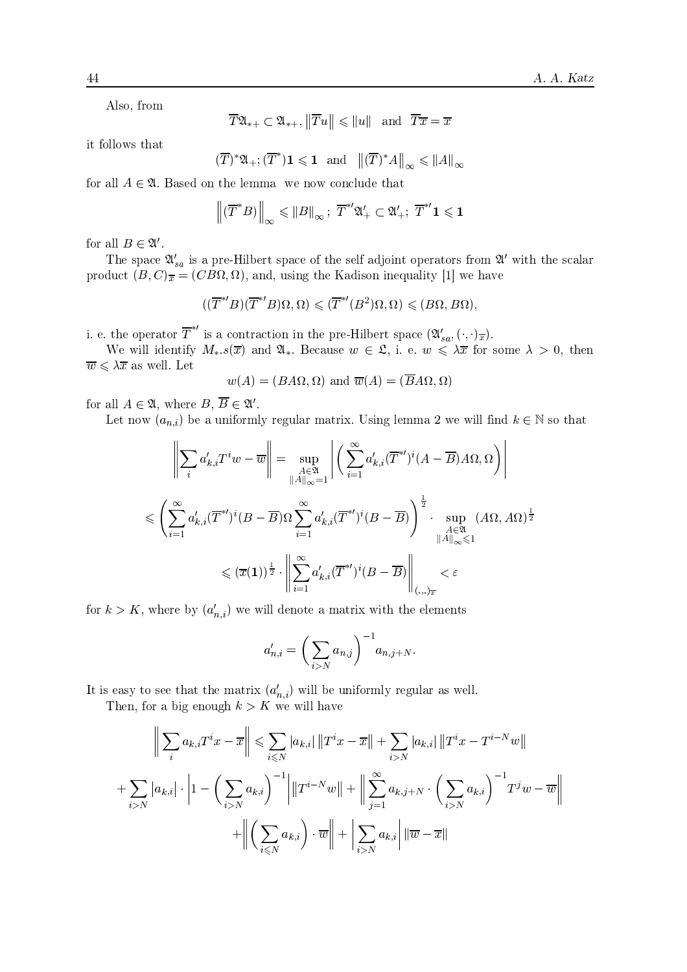Also, from

$$
\overline{T}\mathfrak{A}_{*+}\subset\mathfrak{A}_{*+},\left\|\overline{T}u\right\|\leqslant\left\|u\right\|\ \text{ and }\ \overline{T}\overline{x}=\overline{x}
$$

it follows that

$$
(\overline{T})^*\mathfrak{A}_+; (\overline{T}^*)\mathbf{1} \leqslant \mathbf{1} \text{ and } \left\| (\overline{T})^*A \right\|_{\infty} \leqslant \|A\|_{\infty}
$$

for all  $A \in \mathfrak{A}$ . Based on the lemma we now conclude that

$$
\left\|(\overline{T}^*B)\right\|_{\infty} \leqslant \|B\|_{\infty}; \ \overline{T}^{*'}\mathfrak{A}'_{+} \subset \mathfrak{A}'_{+}; \ \overline{T}^{*'}\mathbf{1} \leqslant \mathbf{1}
$$

for all  $B \in \mathfrak{A}'$ .

The space  $\mathfrak{A}'_{sa}$  is a pre-Hilbert space of the self adjoint operators from  $\mathfrak{A}'$  with the scalar product  $(B, C)_{\overline{x}} = (CB\Omega, \Omega)$ , and, using the Kadison inequality [1] we have

$$
((\overline{T}^{*'}B)(\overline{T}^{*'}B)\Omega,\Omega) \leqslant (\overline{T}^{*'}(B^2)\Omega,\Omega) \leqslant (B\Omega,B\Omega)
$$

i. e. the operator  $\overline{T}^{*'}$  is a contraction in the pre-Hilbert space  $(\mathfrak{A}'_{sa}, (\cdot, \cdot)_{\overline{x}})$ .

We will identify  $M_{*}.s(\overline{x})$  and  $\mathfrak{A}_{*}$ . Because  $w \in \mathfrak{L}$ , i. e.  $w \leq \lambda \overline{x}$  for some  $\lambda > 0$ , then  $\overline{w} \leqslant \lambda \overline{x}$  as well. Let

$$
w(A) = (BA\Omega, \Omega)
$$
 and  $\overline{w}(A) = (\overline{B}A\Omega, \Omega)$ 

for all  $A \in \mathfrak{A}$ , where  $B, \overline{B} \in \mathfrak{A}'$ .

Let now  $(a_{n,i})$  be a uniformly regular matrix. Using lemma 2 we will find  $k \in \mathbb{N}$  so that

$$
\left\| \sum_{i} a'_{k,i} T^{i} w - \overline{w} \right\| = \sup_{\substack{A \in \mathfrak{A} \\ \|A\|_{\infty} = 1}} \left| \left( \sum_{i=1}^{\infty} a'_{k,i} (\overline{T}^{*})^{i} (A - \overline{B}) A \Omega, \Omega \right) \right|
$$
  

$$
\leqslant \left( \sum_{i=1}^{\infty} a'_{k,i} (\overline{T}^{*})^{i} (B - \overline{B}) \Omega \sum_{i=1}^{\infty} a'_{k,i} (\overline{T}^{*})^{i} (B - \overline{B}) \right)^{\frac{1}{2}} \cdot \sup_{\substack{A \in \mathfrak{A} \\ \|A\|_{\infty} \leqslant 1}} (A \Omega, A \Omega)^{\frac{1}{2}}
$$
  

$$
\leqslant (\overline{x}(1))^{\frac{1}{2}} \cdot \left\| \sum_{i=1}^{\infty} a'_{k,i} (\overline{T}^{*})^{i} (B - \overline{B}) \right\|_{(\cdot, \cdot)_{\overline{x}}} < \varepsilon
$$

for  $k > K$ , where by  $(a'_{n,i})$  we will denote a matrix with the elements

$$
a'_{n,i} = \left(\sum_{i>N} a_{n,j}\right)^{-1} a_{n,j+N}
$$

It is easy to see that the matrix  $(a'_{n,i})$  will be uniformly regular as well.

Then, for a big enough  $k > K$  we will have

$$
\left\| \sum_{i} a_{k,i} T^{i} x - \overline{x} \right\| \leqslant \sum_{i \leqslant N} |a_{k,i}| \left\| T^{i} x - \overline{x} \right\| + \sum_{i > N} |a_{k,i}| \left\| T^{i} x - T^{i-N} w \right\|
$$
\n
$$
+ \sum_{i > N} |a_{k,i}| \cdot \left| 1 - \left( \sum_{i > N} a_{k,i} \right)^{-1} \right| \left\| T^{i-N} w \right\| + \left\| \sum_{j=1}^{\infty} a_{k,j+N} \cdot \left( \sum_{i > N} a_{k,i} \right)^{-1} T^{j} w - \overline{w} \right\|
$$
\n
$$
+ \left\| \left( \sum_{i < N} a_{k,i} \right) \cdot \overline{w} \right\| + \left| \sum_{i > N} a_{k,i} \right| \left\| \overline{w} - \overline{x} \right\|
$$